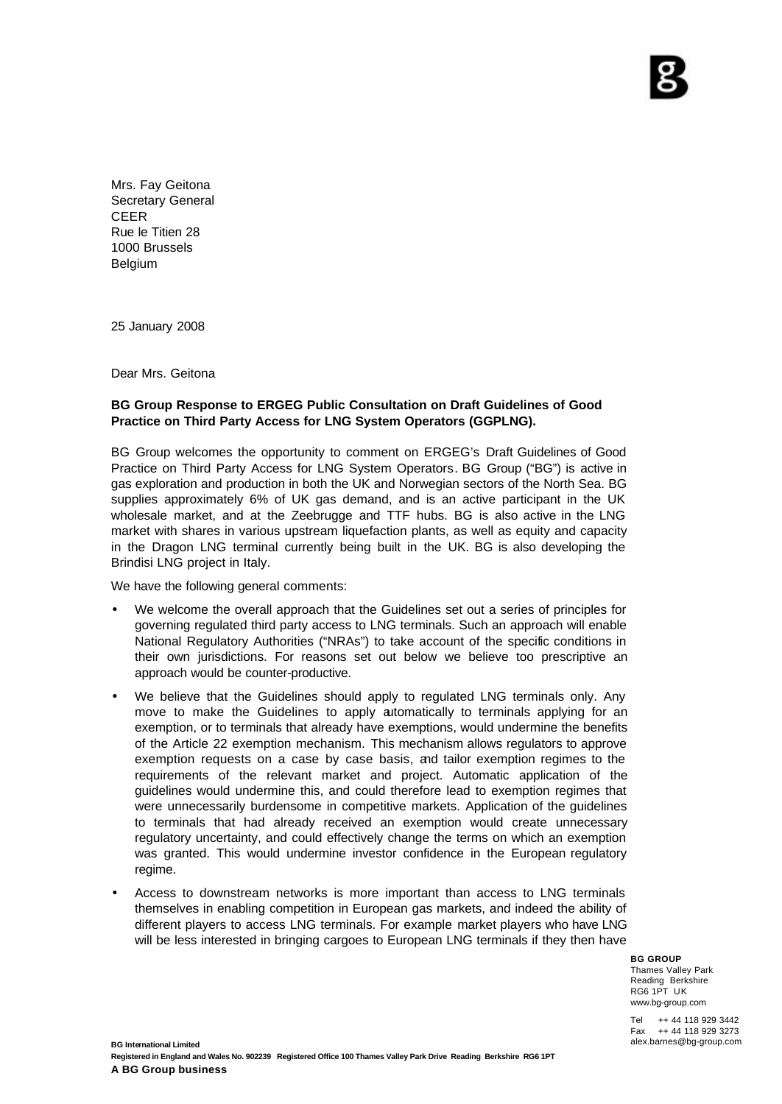Mrs. Fay Geitona Secretary General CEER Rue le Titien 28 1000 Brussels Belgium

25 January 2008

Dear Mrs. Geitona

## **BG Group Response to ERGEG Public Consultation on Draft Guidelines of Good Practice on Third Party Access for LNG System Operators (GGPLNG).**

BG Group welcomes the opportunity to comment on ERGEG's Draft Guidelines of Good Practice on Third Party Access for LNG System Operators. BG Group ("BG") is active in gas exploration and production in both the UK and Norwegian sectors of the North Sea. BG supplies approximately 6% of UK gas demand, and is an active participant in the UK wholesale market, and at the Zeebrugge and TTF hubs. BG is also active in the LNG market with shares in various upstream liquefaction plants, as well as equity and capacity in the Dragon LNG terminal currently being built in the UK. BG is also developing the Brindisi LNG project in Italy.

We have the following general comments:

- We welcome the overall approach that the Guidelines set out a series of principles for governing regulated third party access to LNG terminals. Such an approach will enable National Regulatory Authorities ("NRAs") to take account of the specific conditions in their own jurisdictions. For reasons set out below we believe too prescriptive an approach would be counter-productive.
- We believe that the Guidelines should apply to regulated LNG terminals only. Any move to make the Guidelines to apply automatically to terminals applying for an exemption, or to terminals that already have exemptions, would undermine the benefits of the Article 22 exemption mechanism. This mechanism allows regulators to approve exemption requests on a case by case basis, and tailor exemption regimes to the requirements of the relevant market and project. Automatic application of the guidelines would undermine this, and could therefore lead to exemption regimes that were unnecessarily burdensome in competitive markets. Application of the guidelines to terminals that had already received an exemption would create unnecessary regulatory uncertainty, and could effectively change the terms on which an exemption was granted. This would undermine investor confidence in the European regulatory regime.
- Access to downstream networks is more important than access to LNG terminals themselves in enabling competition in European gas markets, and indeed the ability of different players to access LNG terminals. For example market players who have LNG will be less interested in bringing cargoes to European LNG terminals if they then have

**BG GROUP** Thames Valley Park Reading Berkshire RG6 1PT UK www.bg-group.com

Tel ++ 44 118 929 3442 Fax ++ 44 118 929 3273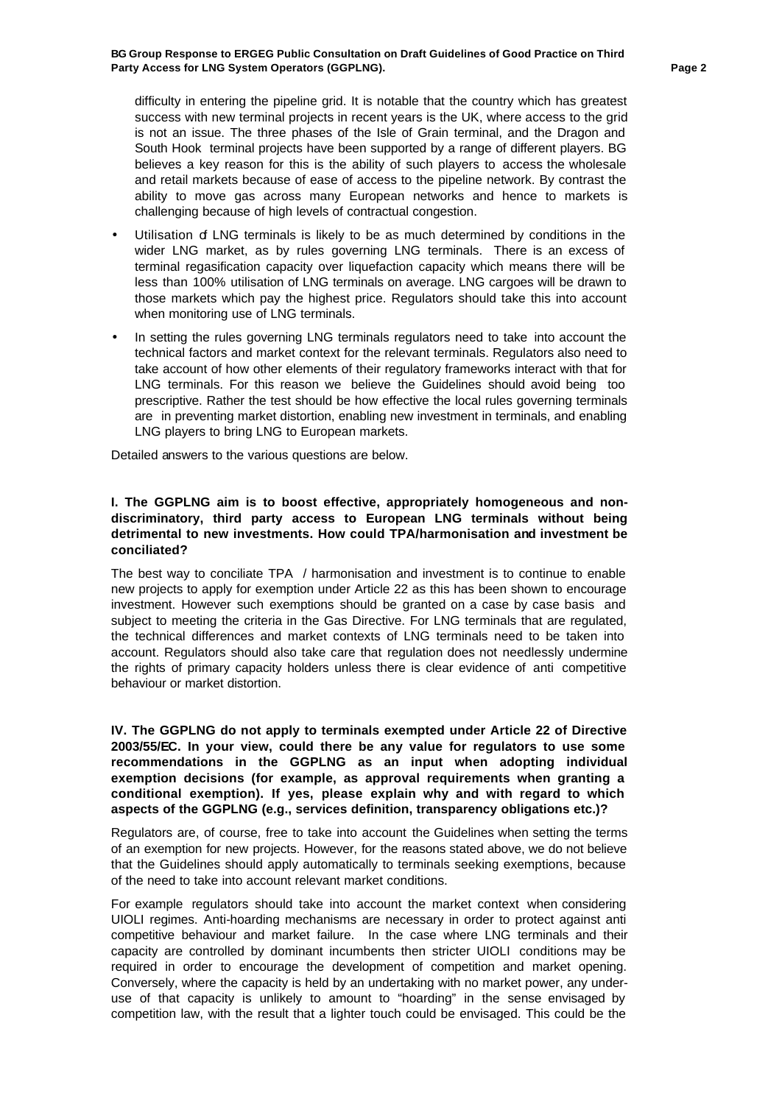difficulty in entering the pipeline grid. It is notable that the country which has greatest success with new terminal projects in recent years is the UK, where access to the grid is not an issue. The three phases of the Isle of Grain terminal, and the Dragon and South Hook terminal projects have been supported by a range of different players. BG believes a key reason for this is the ability of such players to access the wholesale and retail markets because of ease of access to the pipeline network. By contrast the ability to move gas across many European networks and hence to markets is challenging because of high levels of contractual congestion.

- Utilisation of LNG terminals is likely to be as much determined by conditions in the wider LNG market, as by rules governing LNG terminals. There is an excess of terminal regasification capacity over liquefaction capacity which means there will be less than 100% utilisation of LNG terminals on average. LNG cargoes will be drawn to those markets which pay the highest price. Regulators should take this into account when monitoring use of LNG terminals.
- In setting the rules governing LNG terminals regulators need to take into account the technical factors and market context for the relevant terminals. Regulators also need to take account of how other elements of their regulatory frameworks interact with that for LNG terminals. For this reason we believe the Guidelines should avoid being too prescriptive. Rather the test should be how effective the local rules governing terminals are in preventing market distortion, enabling new investment in terminals, and enabling LNG players to bring LNG to European markets.

Detailed answers to the various questions are below.

## **I. The GGPLNG aim is to boost effective, appropriately homogeneous and nondiscriminatory, third party access to European LNG terminals without being detrimental to new investments. How could TPA/harmonisation and investment be conciliated?**

The best way to conciliate TPA / harmonisation and investment is to continue to enable new projects to apply for exemption under Article 22 as this has been shown to encourage investment. However such exemptions should be granted on a case by case basis and subject to meeting the criteria in the Gas Directive. For LNG terminals that are regulated, the technical differences and market contexts of LNG terminals need to be taken into account. Regulators should also take care that regulation does not needlessly undermine the rights of primary capacity holders unless there is clear evidence of anti competitive behaviour or market distortion.

**IV. The GGPLNG do not apply to terminals exempted under Article 22 of Directive 2003/55/EC. In your view, could there be any value for regulators to use some recommendations in the GGPLNG as an input when adopting individual exemption decisions (for example, as approval requirements when granting a conditional exemption). If yes, please explain why and with regard to which aspects of the GGPLNG (e.g., services definition, transparency obligations etc.)?**

Regulators are, of course, free to take into account the Guidelines when setting the terms of an exemption for new projects. However, for the reasons stated above, we do not believe that the Guidelines should apply automatically to terminals seeking exemptions, because of the need to take into account relevant market conditions.

For example regulators should take into account the market context when considering UIOLI regimes. Anti-hoarding mechanisms are necessary in order to protect against anti competitive behaviour and market failure. In the case where LNG terminals and their capacity are controlled by dominant incumbents then stricter UIOLI conditions may be required in order to encourage the development of competition and market opening. Conversely, where the capacity is held by an undertaking with no market power, any underuse of that capacity is unlikely to amount to "hoarding" in the sense envisaged by competition law, with the result that a lighter touch could be envisaged. This could be the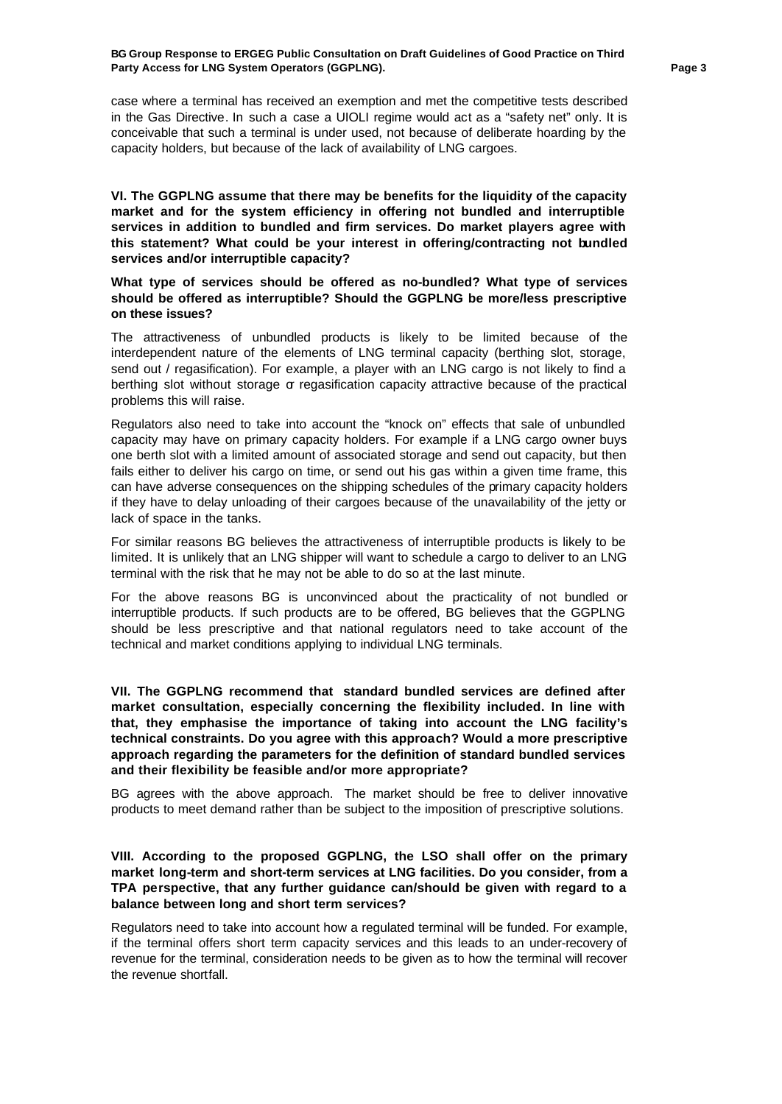case where a terminal has received an exemption and met the competitive tests described in the Gas Directive. In such a case a UIOLI regime would act as a "safety net" only. It is conceivable that such a terminal is under used, not because of deliberate hoarding by the capacity holders, but because of the lack of availability of LNG cargoes.

**VI. The GGPLNG assume that there may be benefits for the liquidity of the capacity market and for the system efficiency in offering not bundled and interruptible services in addition to bundled and firm services. Do market players agree with this statement? What could be your interest in offering/contracting not bundled services and/or interruptible capacity?**

**What type of services should be offered as no-bundled? What type of services should be offered as interruptible? Should the GGPLNG be more/less prescriptive on these issues?**

The attractiveness of unbundled products is likely to be limited because of the interdependent nature of the elements of LNG terminal capacity (berthing slot, storage, send out / regasification). For example, a player with an LNG cargo is not likely to find a berthing slot without storage  $\sigma$  regasification capacity attractive because of the practical problems this will raise.

Regulators also need to take into account the "knock on" effects that sale of unbundled capacity may have on primary capacity holders. For example if a LNG cargo owner buys one berth slot with a limited amount of associated storage and send out capacity, but then fails either to deliver his cargo on time, or send out his gas within a given time frame, this can have adverse consequences on the shipping schedules of the primary capacity holders if they have to delay unloading of their cargoes because of the unavailability of the jetty or lack of space in the tanks.

For similar reasons BG believes the attractiveness of interruptible products is likely to be limited. It is unlikely that an LNG shipper will want to schedule a cargo to deliver to an LNG terminal with the risk that he may not be able to do so at the last minute.

For the above reasons BG is unconvinced about the practicality of not bundled or interruptible products. If such products are to be offered, BG believes that the GGPLNG should be less prescriptive and that national regulators need to take account of the technical and market conditions applying to individual LNG terminals.

**VII. The GGPLNG recommend that standard bundled services are defined after market consultation, especially concerning the flexibility included. In line with that, they emphasise the importance of taking into account the LNG facility's technical constraints. Do you agree with this approach? Would a more prescriptive approach regarding the parameters for the definition of standard bundled services and their flexibility be feasible and/or more appropriate?**

BG agrees with the above approach. The market should be free to deliver innovative products to meet demand rather than be subject to the imposition of prescriptive solutions.

# **VIII. According to the proposed GGPLNG, the LSO shall offer on the primary market long-term and short-term services at LNG facilities. Do you consider, from a TPA perspective, that any further guidance can/should be given with regard to a balance between long and short term services?**

Regulators need to take into account how a regulated terminal will be funded. For example, if the terminal offers short term capacity services and this leads to an under-recovery of revenue for the terminal, consideration needs to be given as to how the terminal will recover the revenue shortfall.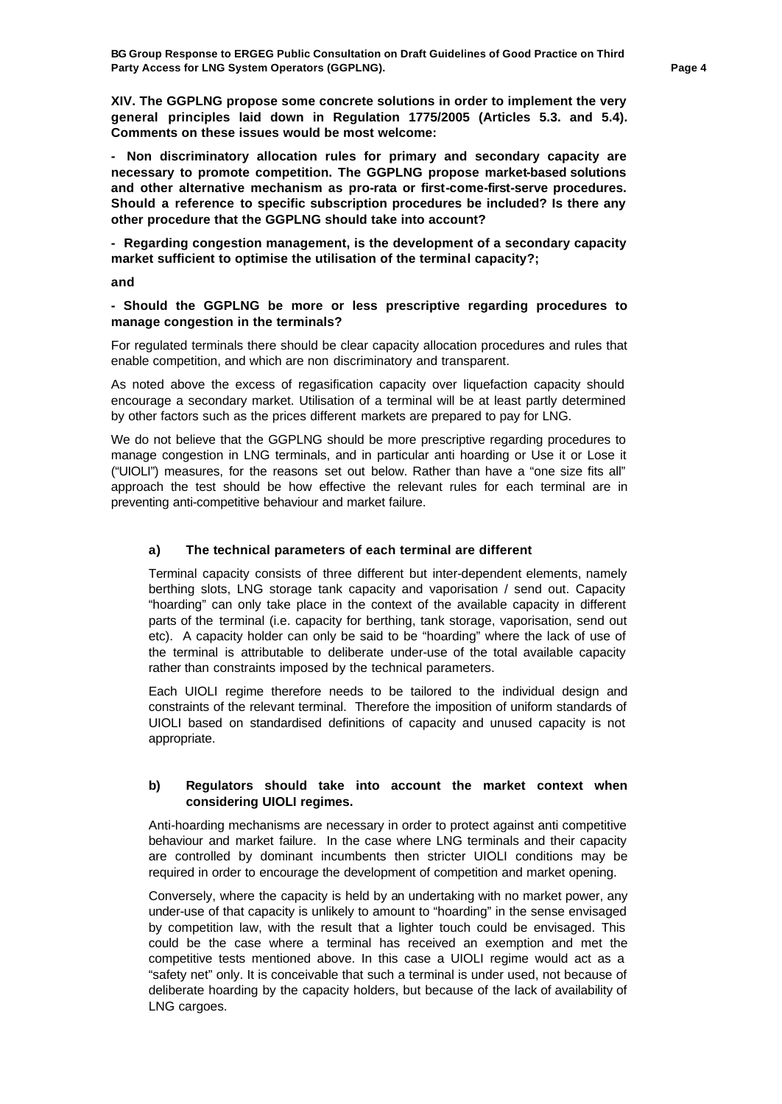**XIV. The GGPLNG propose some concrete solutions in order to implement the very general principles laid down in Regulation 1775/2005 (Articles 5.3. and 5.4). Comments on these issues would be most welcome:**

**- Non discriminatory allocation rules for primary and secondary capacity are necessary to promote competition. The GGPLNG propose market-based solutions and other alternative mechanism as pro-rata or first-come-first-serve procedures. Should a reference to specific subscription procedures be included? Is there any other procedure that the GGPLNG should take into account?**

**- Regarding congestion management, is the development of a secondary capacity market sufficient to optimise the utilisation of the terminal capacity?;**

**and**

#### **- Should the GGPLNG be more or less prescriptive regarding procedures to manage congestion in the terminals?**

For regulated terminals there should be clear capacity allocation procedures and rules that enable competition, and which are non discriminatory and transparent.

As noted above the excess of regasification capacity over liquefaction capacity should encourage a secondary market. Utilisation of a terminal will be at least partly determined by other factors such as the prices different markets are prepared to pay for LNG.

We do not believe that the GGPLNG should be more prescriptive regarding procedures to manage congestion in LNG terminals, and in particular anti hoarding or Use it or Lose it ("UIOLI") measures, for the reasons set out below. Rather than have a "one size fits all" approach the test should be how effective the relevant rules for each terminal are in preventing anti-competitive behaviour and market failure.

# **a) The technical parameters of each terminal are different**

Terminal capacity consists of three different but inter-dependent elements, namely berthing slots, LNG storage tank capacity and vaporisation / send out. Capacity "hoarding" can only take place in the context of the available capacity in different parts of the terminal (i.e. capacity for berthing, tank storage, vaporisation, send out etc). A capacity holder can only be said to be "hoarding" where the lack of use of the terminal is attributable to deliberate under-use of the total available capacity rather than constraints imposed by the technical parameters.

Each UIOLI regime therefore needs to be tailored to the individual design and constraints of the relevant terminal. Therefore the imposition of uniform standards of UIOLI based on standardised definitions of capacity and unused capacity is not appropriate.

## **b) Regulators should take into account the market context when considering UIOLI regimes.**

Anti-hoarding mechanisms are necessary in order to protect against anti competitive behaviour and market failure. In the case where LNG terminals and their capacity are controlled by dominant incumbents then stricter UIOLI conditions may be required in order to encourage the development of competition and market opening.

Conversely, where the capacity is held by an undertaking with no market power, any under-use of that capacity is unlikely to amount to "hoarding" in the sense envisaged by competition law, with the result that a lighter touch could be envisaged. This could be the case where a terminal has received an exemption and met the competitive tests mentioned above. In this case a UIOLI regime would act as a "safety net" only. It is conceivable that such a terminal is under used, not because of deliberate hoarding by the capacity holders, but because of the lack of availability of LNG cargoes.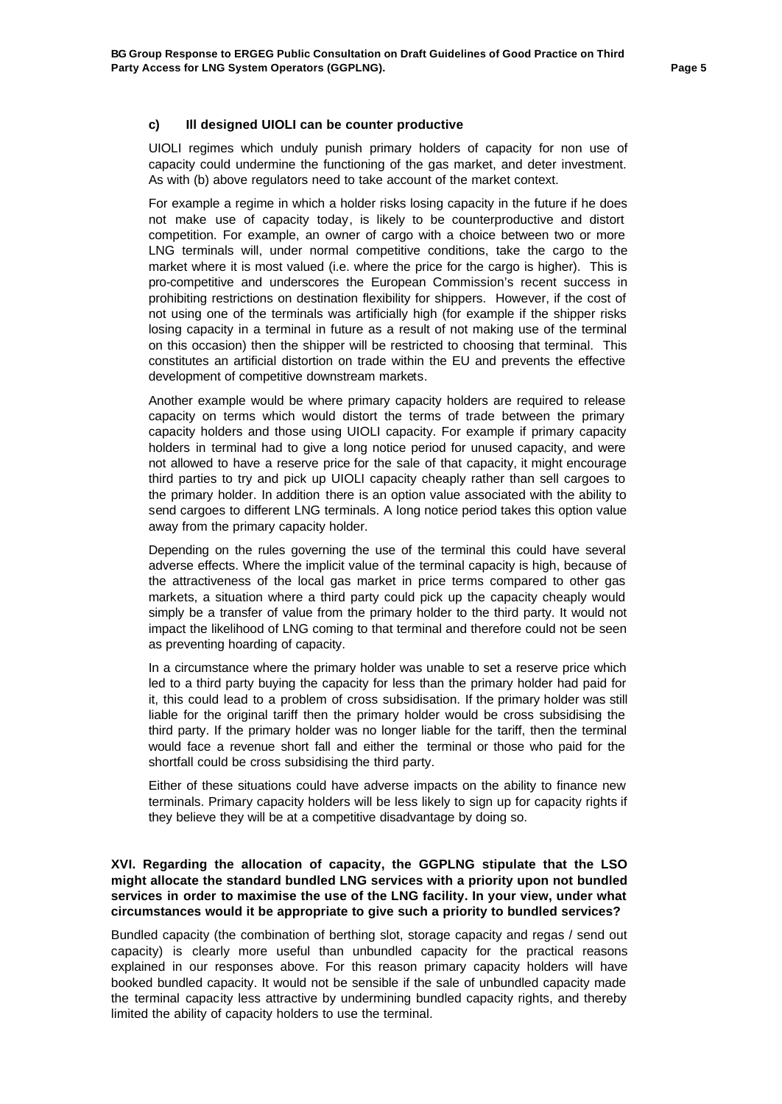### **c) Ill designed UIOLI can be counter productive**

UIOLI regimes which unduly punish primary holders of capacity for non use of capacity could undermine the functioning of the gas market, and deter investment. As with (b) above regulators need to take account of the market context.

For example a regime in which a holder risks losing capacity in the future if he does not make use of capacity today, is likely to be counterproductive and distort competition. For example, an owner of cargo with a choice between two or more LNG terminals will, under normal competitive conditions, take the cargo to the market where it is most valued (i.e. where the price for the cargo is higher). This is pro-competitive and underscores the European Commission's recent success in prohibiting restrictions on destination flexibility for shippers. However, if the cost of not using one of the terminals was artificially high (for example if the shipper risks losing capacity in a terminal in future as a result of not making use of the terminal on this occasion) then the shipper will be restricted to choosing that terminal. This constitutes an artificial distortion on trade within the EU and prevents the effective development of competitive downstream markets.

Another example would be where primary capacity holders are required to release capacity on terms which would distort the terms of trade between the primary capacity holders and those using UIOLI capacity. For example if primary capacity holders in terminal had to give a long notice period for unused capacity, and were not allowed to have a reserve price for the sale of that capacity, it might encourage third parties to try and pick up UIOLI capacity cheaply rather than sell cargoes to the primary holder. In addition there is an option value associated with the ability to send cargoes to different LNG terminals. A long notice period takes this option value away from the primary capacity holder.

Depending on the rules governing the use of the terminal this could have several adverse effects. Where the implicit value of the terminal capacity is high, because of the attractiveness of the local gas market in price terms compared to other gas markets, a situation where a third party could pick up the capacity cheaply would simply be a transfer of value from the primary holder to the third party. It would not impact the likelihood of LNG coming to that terminal and therefore could not be seen as preventing hoarding of capacity.

In a circumstance where the primary holder was unable to set a reserve price which led to a third party buying the capacity for less than the primary holder had paid for it, this could lead to a problem of cross subsidisation. If the primary holder was still liable for the original tariff then the primary holder would be cross subsidising the third party. If the primary holder was no longer liable for the tariff, then the terminal would face a revenue short fall and either the terminal or those who paid for the shortfall could be cross subsidising the third party.

Either of these situations could have adverse impacts on the ability to finance new terminals. Primary capacity holders will be less likely to sign up for capacity rights if they believe they will be at a competitive disadvantage by doing so.

# **XVI. Regarding the allocation of capacity, the GGPLNG stipulate that the LSO might allocate the standard bundled LNG services with a priority upon not bundled services in order to maximise the use of the LNG facility. In your view, under what circumstances would it be appropriate to give such a priority to bundled services?**

Bundled capacity (the combination of berthing slot, storage capacity and regas / send out capacity) is clearly more useful than unbundled capacity for the practical reasons explained in our responses above. For this reason primary capacity holders will have booked bundled capacity. It would not be sensible if the sale of unbundled capacity made the terminal capacity less attractive by undermining bundled capacity rights, and thereby limited the ability of capacity holders to use the terminal.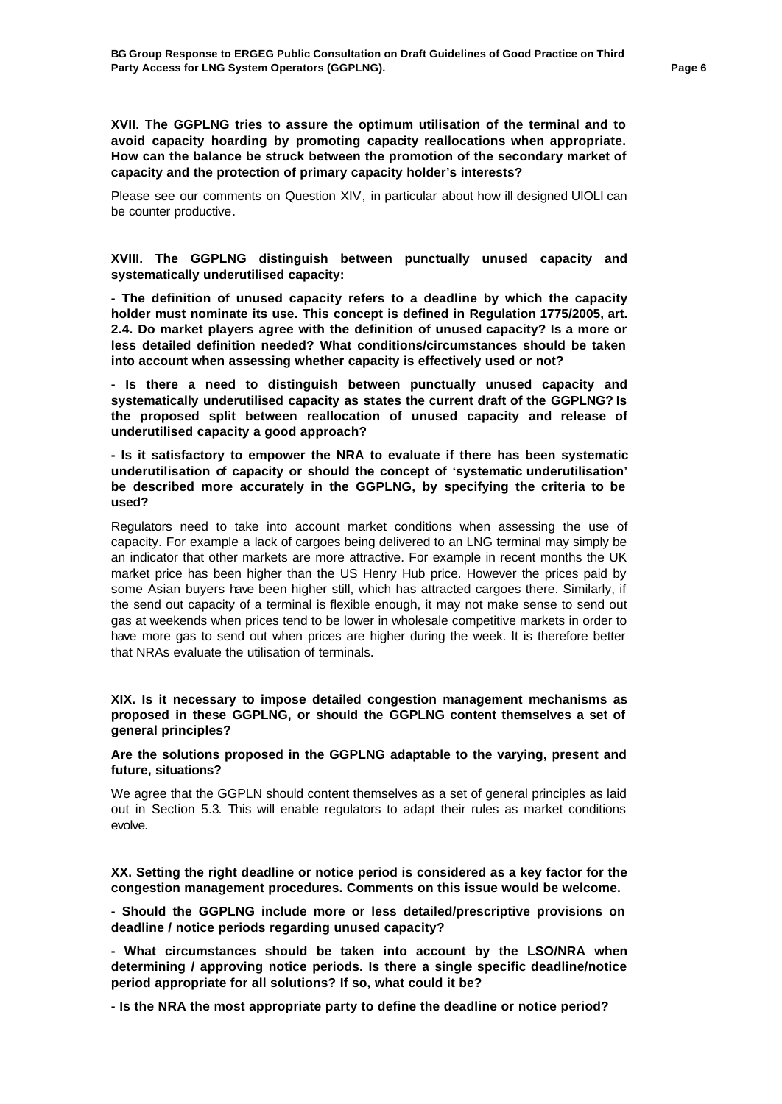**XVII. The GGPLNG tries to assure the optimum utilisation of the terminal and to avoid capacity hoarding by promoting capacity reallocations when appropriate. How can the balance be struck between the promotion of the secondary market of capacity and the protection of primary capacity holder's interests?**

Please see our comments on Question XIV, in particular about how ill designed UIOLI can be counter productive.

## **XVIII. The GGPLNG distinguish between punctually unused capacity and systematically underutilised capacity:**

**- The definition of unused capacity refers to a deadline by which the capacity holder must nominate its use. This concept is defined in Regulation 1775/2005, art. 2.4. Do market players agree with the definition of unused capacity? Is a more or less detailed definition needed? What conditions/circumstances should be taken into account when assessing whether capacity is effectively used or not?**

**- Is there a need to distinguish between punctually unused capacity and systematically underutilised capacity as states the current draft of the GGPLNG? Is the proposed split between reallocation of unused capacity and release of underutilised capacity a good approach?**

**- Is it satisfactory to empower the NRA to evaluate if there has been systematic underutilisation of capacity or should the concept of 'systematic underutilisation' be described more accurately in the GGPLNG, by specifying the criteria to be used?**

Regulators need to take into account market conditions when assessing the use of capacity. For example a lack of cargoes being delivered to an LNG terminal may simply be an indicator that other markets are more attractive. For example in recent months the UK market price has been higher than the US Henry Hub price. However the prices paid by some Asian buyers have been higher still, which has attracted cargoes there. Similarly, if the send out capacity of a terminal is flexible enough, it may not make sense to send out gas at weekends when prices tend to be lower in wholesale competitive markets in order to have more gas to send out when prices are higher during the week. It is therefore better that NRAs evaluate the utilisation of terminals.

# **XIX. Is it necessary to impose detailed congestion management mechanisms as proposed in these GGPLNG, or should the GGPLNG content themselves a set of general principles?**

### **Are the solutions proposed in the GGPLNG adaptable to the varying, present and future, situations?**

We agree that the GGPLN should content themselves as a set of general principles as laid out in Section 5.3. This will enable regulators to adapt their rules as market conditions evolve.

**XX. Setting the right deadline or notice period is considered as a key factor for the congestion management procedures. Comments on this issue would be welcome.**

**- Should the GGPLNG include more or less detailed/prescriptive provisions on deadline / notice periods regarding unused capacity?**

**- What circumstances should be taken into account by the LSO/NRA when determining / approving notice periods. Is there a single specific deadline/notice period appropriate for all solutions? If so, what could it be?**

**- Is the NRA the most appropriate party to define the deadline or notice period?**